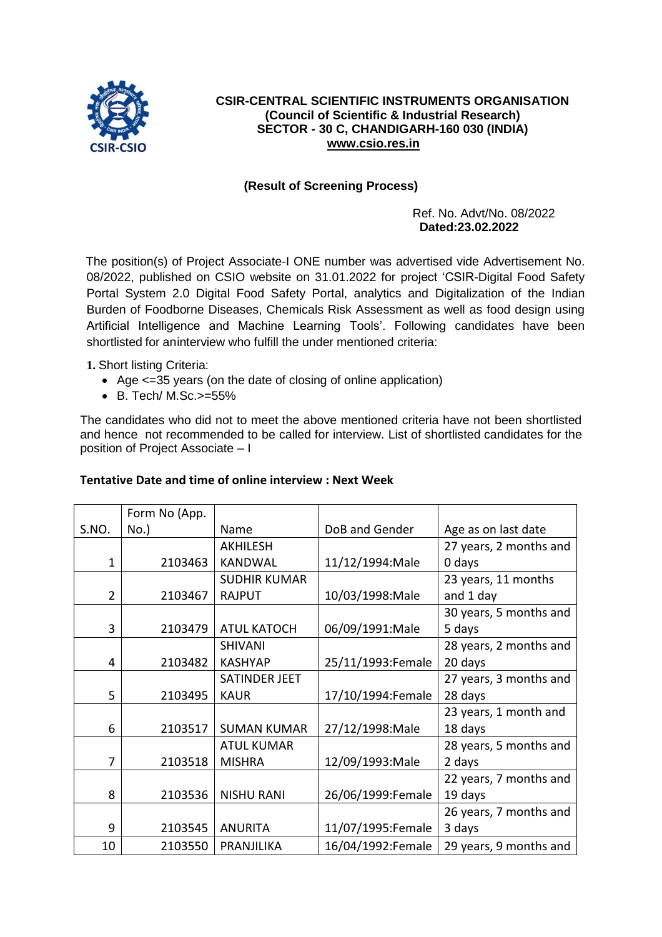

### **CSIR-CENTRAL SCIENTIFIC INSTRUMENTS ORGANISATION (Council of Scientific & Industrial Research) SECTOR - 30 C, CHANDIGARH-160 030 (INDIA) [www.csio.res.in](http://www.csio.res.in/)**

## **(Result of Screening Process)**

Ref. No. Advt/No. 08/2022  **Dated:23.02.2022**

The position(s) of Project Associate-I ONE number was advertised vide Advertisement No. 08/2022, published on CSIO website on 31.01.2022 for project 'CSIR-Digital Food Safety Portal System 2.0 Digital Food Safety Portal, analytics and Digitalization of the Indian Burden of Foodborne Diseases, Chemicals Risk Assessment as well as food design using Artificial Intelligence and Machine Learning Tools'. Following candidates have been shortlisted for aninterview who fulfill the under mentioned criteria:

**1.** Short listing Criteria:

- Age <=35 years (on the date of closing of online application)
- B. Tech/ M.Sc.>=55%

The candidates who did not to meet the above mentioned criteria have not been shortlisted and hence not recommended to be called for interview. List of shortlisted candidates for the position of Project Associate – I

### **Tentative Date and time of online interview : Next Week**

|                | Form No (App. |                      |                   |                        |
|----------------|---------------|----------------------|-------------------|------------------------|
| S.NO.          | $No.$ )       | Name                 | DoB and Gender    | Age as on last date    |
|                |               | <b>AKHILESH</b>      |                   | 27 years, 2 months and |
| $\mathbf{1}$   | 2103463       | <b>KANDWAL</b>       | 11/12/1994: Male  | 0 days                 |
|                |               | <b>SUDHIR KUMAR</b>  |                   | 23 years, 11 months    |
| $\overline{2}$ | 2103467       | <b>RAJPUT</b>        | 10/03/1998: Male  | and 1 day              |
|                |               |                      |                   | 30 years, 5 months and |
| 3              | 2103479       | <b>ATUL KATOCH</b>   | 06/09/1991:Male   | 5 days                 |
|                |               | <b>SHIVANI</b>       |                   | 28 years, 2 months and |
| 4              | 2103482       | <b>KASHYAP</b>       | 25/11/1993:Female | 20 days                |
|                |               | <b>SATINDER JEET</b> |                   | 27 years, 3 months and |
| 5              | 2103495       | <b>KAUR</b>          | 17/10/1994:Female | 28 days                |
|                |               |                      |                   | 23 years, 1 month and  |
| 6              | 2103517       | <b>SUMAN KUMAR</b>   | 27/12/1998: Male  | 18 days                |
|                |               | <b>ATUL KUMAR</b>    |                   | 28 years, 5 months and |
| 7              | 2103518       | <b>MISHRA</b>        | 12/09/1993: Male  | 2 days                 |
|                |               |                      |                   | 22 years, 7 months and |
| 8              | 2103536       | <b>NISHU RANI</b>    | 26/06/1999:Female | 19 days                |
|                |               |                      |                   | 26 years, 7 months and |
| 9              | 2103545       | <b>ANURITA</b>       | 11/07/1995:Female | 3 days                 |
| 10             | 2103550       | PRANJILIKA           | 16/04/1992:Female | 29 years, 9 months and |